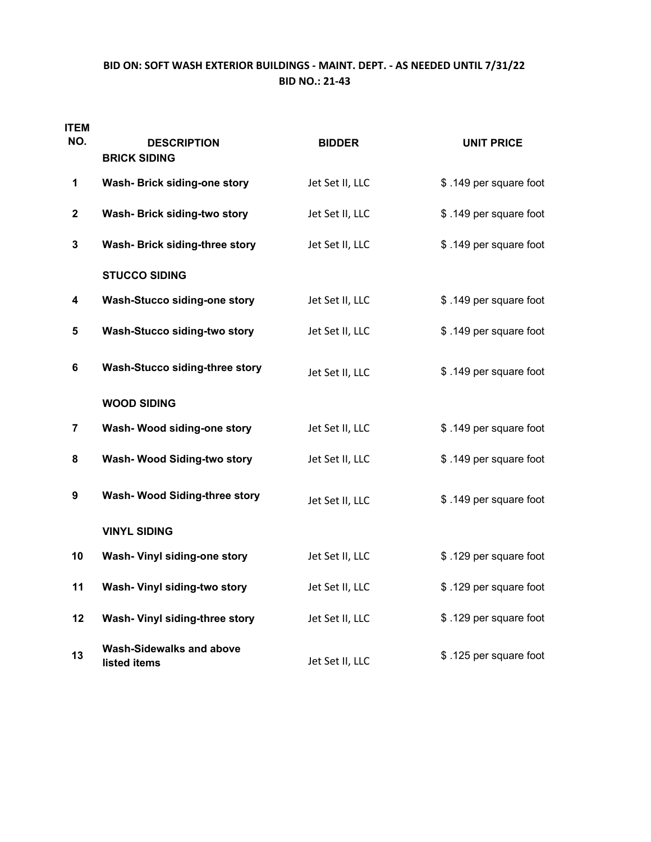## **BID ON: SOFT WASH EXTERIOR BUILDINGS ‐ MAINT. DEPT. ‐ AS NEEDED UNTIL 7/31/22 BID NO.: 21‐43**

| <b>ITEM</b><br>NO. | <b>DESCRIPTION</b><br><b>BRICK SIDING</b>       | <b>BIDDER</b>   | <b>UNIT PRICE</b>      |
|--------------------|-------------------------------------------------|-----------------|------------------------|
| 1                  | Wash- Brick siding-one story                    | Jet Set II, LLC | \$.149 per square foot |
| $\mathbf{2}$       | Wash- Brick siding-two story                    | Jet Set II, LLC | \$.149 per square foot |
| 3                  | Wash- Brick siding-three story                  | Jet Set II, LLC | \$.149 per square foot |
|                    | <b>STUCCO SIDING</b>                            |                 |                        |
| 4                  | Wash-Stucco siding-one story                    | Jet Set II, LLC | \$.149 per square foot |
| 5                  | Wash-Stucco siding-two story                    | Jet Set II, LLC | \$.149 per square foot |
| 6                  | Wash-Stucco siding-three story                  | Jet Set II, LLC | \$.149 per square foot |
|                    | <b>WOOD SIDING</b>                              |                 |                        |
| 7                  | Wash- Wood siding-one story                     | Jet Set II, LLC | \$.149 per square foot |
| 8                  | Wash- Wood Siding-two story                     | Jet Set II, LLC | \$.149 per square foot |
| 9                  | Wash- Wood Siding-three story                   | Jet Set II, LLC | \$.149 per square foot |
|                    | <b>VINYL SIDING</b>                             |                 |                        |
| 10                 | Wash- Vinyl siding-one story                    | Jet Set II, LLC | \$.129 per square foot |
| 11                 | Wash- Vinyl siding-two story                    | Jet Set II, LLC | \$.129 per square foot |
| 12                 | Wash- Vinyl siding-three story                  | Jet Set II, LLC | \$.129 per square foot |
| 13                 | <b>Wash-Sidewalks and above</b><br>listed items | Jet Set II, LLC | \$.125 per square foot |